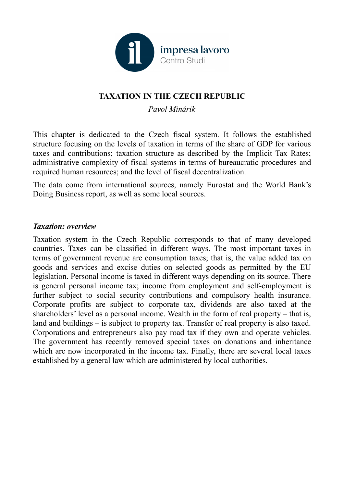

# **TAXATION IN THE CZECH REPUBLIC**

*Pavol Minárik*

This chapter is dedicated to the Czech fiscal system. It follows the established structure focusing on the levels of taxation in terms of the share of GDP for various taxes and contributions; taxation structure as described by the Implicit Tax Rates; administrative complexity of fiscal systems in terms of bureaucratic procedures and required human resources; and the level of fiscal decentralization.

The data come from international sources, namely Eurostat and the World Bank's Doing Business report, as well as some local sources.

#### *Taxation: overview*

Taxation system in the Czech Republic corresponds to that of many developed countries. Taxes can be classified in different ways. The most important taxes in terms of government revenue are consumption taxes; that is, the value added tax on goods and services and excise duties on selected goods as permitted by the EU legislation. Personal income is taxed in different ways depending on its source. There is general personal income tax; income from employment and self-employment is further subject to social security contributions and compulsory health insurance. Corporate profits are subject to corporate tax, dividends are also taxed at the shareholders' level as a personal income. Wealth in the form of real property – that is, land and buildings – is subject to property tax. Transfer of real property is also taxed. Corporations and entrepreneurs also pay road tax if they own and operate vehicles. The government has recently removed special taxes on donations and inheritance which are now incorporated in the income tax. Finally, there are several local taxes established by a general law which are administered by local authorities.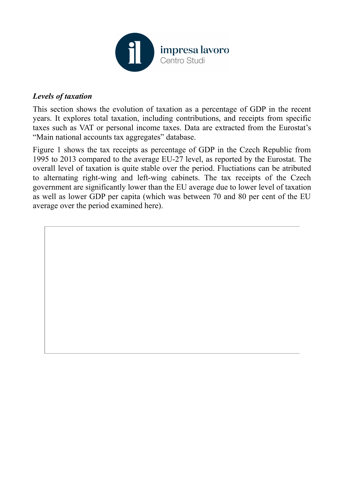

#### *Levels of taxation*

This section shows the evolution of taxation as a percentage of GDP in the recent years. It explores total taxation, including contributions, and receipts from specific taxes such as VAT or personal income taxes. Data are extracted from the Eurostat's "Main national accounts tax aggregates" database.

Figure 1 shows the tax receipts as percentage of GDP in the Czech Republic from 1995 to 2013 compared to the average EU-27 level, as reported by the Eurostat. The overall level of taxation is quite stable over the period. Fluctiations can be atributed to alternating right-wing and left-wing cabinets. The tax receipts of the Czech government are significantly lower than the EU average due to lower level of taxation as well as lower GDP per capita (which was between 70 and 80 per cent of the EU average over the period examined here).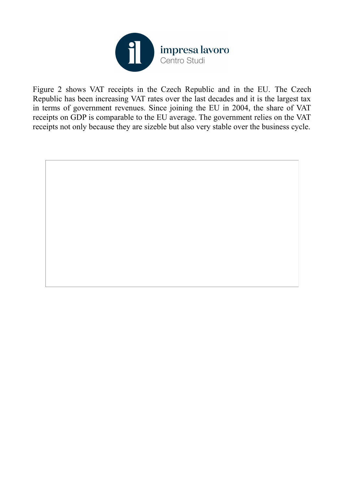

Figure 2 shows VAT receipts in the Czech Republic and in the EU. The Czech Republic has been increasing VAT rates over the last decades and it is the largest tax in terms of government revenues. Since joining the EU in 2004, the share of VAT receipts on GDP is comparable to the EU average. The government relies on the VAT receipts not only because they are sizeble but also very stable over the business cycle.

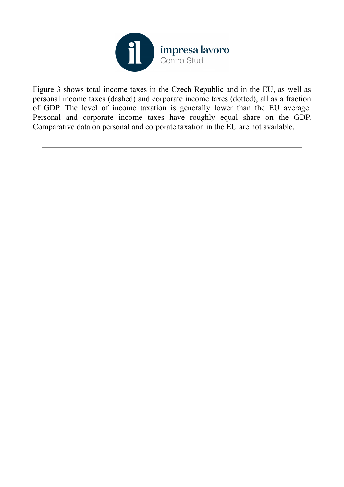

Figure 3 shows total income taxes in the Czech Republic and in the EU, as well as personal income taxes (dashed) and corporate income taxes (dotted), all as a fraction of GDP. The level of income taxation is generally lower than the EU average. Personal and corporate income taxes have roughly equal share on the GDP. Comparative data on personal and corporate taxation in the EU are not available.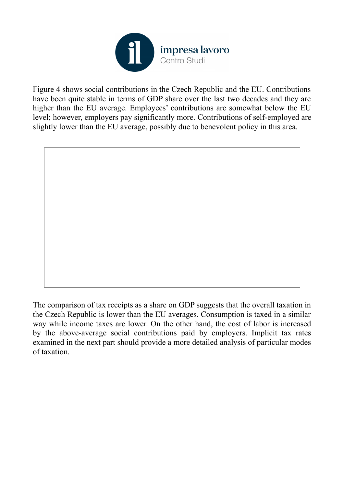

Figure 4 shows social contributions in the Czech Republic and the EU. Contributions have been quite stable in terms of GDP share over the last two decades and they are higher than the EU average. Employees' contributions are somewhat below the EU level; however, employers pay significantly more. Contributions of self-employed are slightly lower than the EU average, possibly due to benevolent policy in this area.

The comparison of tax receipts as a share on GDP suggests that the overall taxation in the Czech Republic is lower than the EU averages. Consumption is taxed in a similar way while income taxes are lower. On the other hand, the cost of labor is increased by the above-average social contributions paid by employers. Implicit tax rates examined in the next part should provide a more detailed analysis of particular modes of taxation.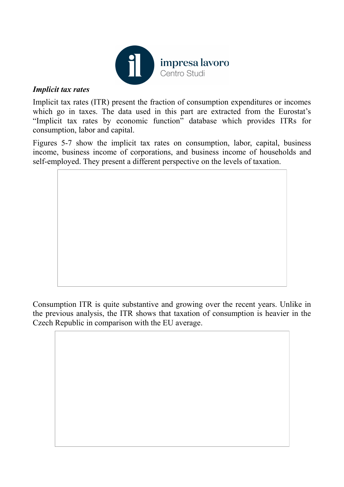

#### *Implicit tax rates*

Implicit tax rates (ITR) present the fraction of consumption expenditures or incomes which go in taxes. The data used in this part are extracted from the Eurostat's "Implicit tax rates by economic function" database which provides ITRs for consumption, labor and capital.

Figures 5-7 show the implicit tax rates on consumption, labor, capital, business income, business income of corporations, and business income of households and self-employed. They present a different perspective on the levels of taxation.

Consumption ITR is quite substantive and growing over the recent years. Unlike in the previous analysis, the ITR shows that taxation of consumption is heavier in the Czech Republic in comparison with the EU average.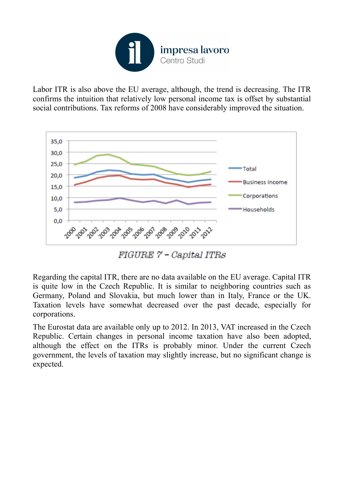

Labor ITR is also above the EU average, although, the trend is decreasing. The ITR confirms the intuition that relatively low personal income tax is offset by substantial social contributions. Tax reforms of 2008 have considerably improved the situation.



 $FIGURE$   $\%$  - Capital ITRs

Regarding the capital ITR, there are no data available on the EU average. Capital ITR is quite low in the Czech Republic. It is similar to neighboring countries such as Germany, Poland and Slovakia, but much lower than in Italy, France or the UK. Taxation levels have somewhat decreased over the past decade, especially for corporations.

The Eurostat data are available only up to 2012. In 2013, VAT increased in the Czech Republic. Certain changes in personal income taxation have also been adopted, although the effect on the ITRs is probably minor. Under the current Czech government, the levels of taxation may slightly increase, but no significant change is expected.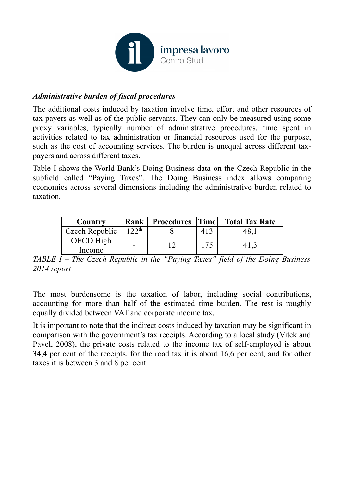

### *Administrative burden of fiscal procedures*

The additional costs induced by taxation involve time, effort and other resources of tax-payers as well as of the public servants. They can only be measured using some proxy variables, typically number of administrative procedures, time spent in activities related to tax administration or financial resources used for the purpose, such as the cost of accounting services. The burden is unequal across different taxpayers and across different taxes.

Table I shows the World Bank's Doing Business data on the Czech Republic in the subfield called "Paying Taxes". The Doing Business index allows comparing economies across several dimensions including the administrative burden related to taxation.

| Country        | Rank       | <b>Procedures</b> | Time | <b>Total Tax Rate</b> |
|----------------|------------|-------------------|------|-----------------------|
| Czech Republic | $122^{th}$ |                   |      |                       |
| OECD High      |            |                   | 175  |                       |
| Income         |            |                   |      |                       |

*TABLE I – The Czech Republic in the "Paying Taxes" field of the Doing Business 2014 report*

The most burdensome is the taxation of labor, including social contributions, accounting for more than half of the estimated time burden. The rest is roughly equally divided between VAT and corporate income tax.

It is important to note that the indirect costs induced by taxation may be significant in comparison with the government's tax receipts. According to a local study (Vitek and Pavel, 2008), the private costs related to the income tax of self-employed is about 34,4 per cent of the receipts, for the road tax it is about 16,6 per cent, and for other taxes it is between 3 and 8 per cent.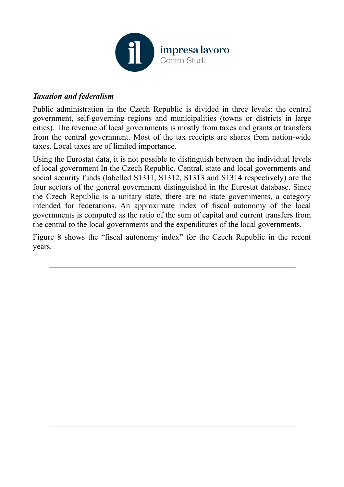

### *Taxation and federalism*

Public administration in the Czech Republic is divided in three levels: the central government, self-governing regions and municipalities (towns or districts in large cities). The revenue of local governments is mostly from taxes and grants or transfers from the central government. Most of the tax receipts are shares from nation-wide taxes. Local taxes are of limited importance.

Using the Eurostat data, it is not possible to distinguish between the individual levels of local government In the Czech Republic. Central, state and local governments and social security funds (labelled S1311, S1312, S1313 and S1314 respectively) are the four sectors of the general government distinguished in the Eurostat database. Since the Czech Republic is a unitary state, there are no state governments, a category intended for federations. An approximate index of fiscal autonomy of the local governments is computed as the ratio of the sum of capital and current transfers from the central to the local governments and the expenditures of the local governments.

Figure 8 shows the "fiscal autonomy index" for the Czech Republic in the recent years.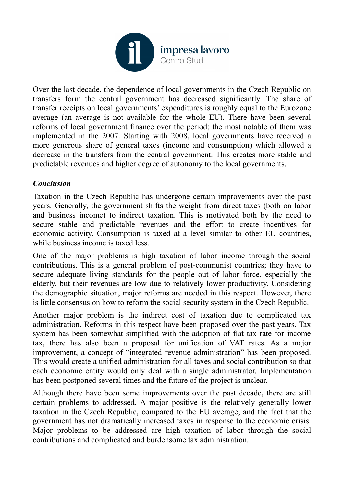

Over the last decade, the dependence of local governments in the Czech Republic on transfers form the central government has decreased significantly. The share of transfer receipts on local governments' expenditures is roughly equal to the Eurozone average (an average is not available for the whole EU). There have been several reforms of local government finance over the period; the most notable of them was implemented in the 2007. Starting with 2008, local governments have received a more generous share of general taxes (income and consumption) which allowed a decrease in the transfers from the central government. This creates more stable and predictable revenues and higher degree of autonomy to the local governments.

## *Conclusion*

Taxation in the Czech Republic has undergone certain improvements over the past years. Generally, the government shifts the weight from direct taxes (both on labor and business income) to indirect taxation. This is motivated both by the need to secure stable and predictable revenues and the effort to create incentives for economic activity. Consumption is taxed at a level similar to other EU countries, while business income is taxed less.

One of the major problems is high taxation of labor income through the social contributions. This is a general problem of post-communist countries; they have to secure adequate living standards for the people out of labor force, especially the elderly, but their revenues are low due to relatively lower productivity. Considering the demographic situation, major reforms are needed in this respect. However, there is little consensus on how to reform the social security system in the Czech Republic.

Another major problem is the indirect cost of taxation due to complicated tax administration. Reforms in this respect have been proposed over the past years. Tax system has been somewhat simplified with the adoption of flat tax rate for income tax, there has also been a proposal for unification of VAT rates. As a major improvement, a concept of "integrated revenue administration" has been proposed. This would create a unified administration for all taxes and social contribution so that each economic entity would only deal with a single administrator. Implementation has been postponed several times and the future of the project is unclear.

Although there have been some improvements over the past decade, there are still certain problems to addressed. A major positive is the relatively generally lower taxation in the Czech Republic, compared to the EU average, and the fact that the government has not dramatically increased taxes in response to the economic crisis. Major problems to be addressed are high taxation of labor through the social contributions and complicated and burdensome tax administration.